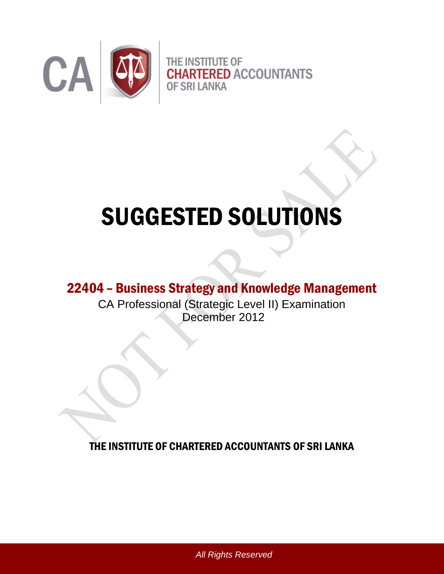

# SUGGESTED SOLUTIONS

# 22404 – Business Strategy and Knowledge Management

CA Professional (Strategic Level II) Examination December 2012

THE INSTITUTE OF CHARTERED ACCOUNTANTS OF SRI LANKA

*All Rights Reserved*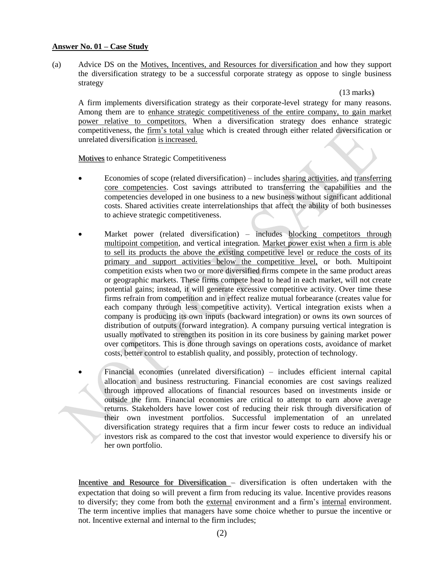#### **Answer No. 01 – Case Study**

(a) Advice DS on the Motives, Incentives, and Resources for diversification and how they support the diversification strategy to be a successful corporate strategy as oppose to single business strategy

(13 marks)

A firm implements diversification strategy as their corporate-level strategy for many reasons. Among them are to enhance strategic competitiveness of the entire company, to gain market power relative to competitors. When a diversification strategy does enhance strategic competitiveness, the firm's total value which is created through either related diversification or unrelated diversification is increased.

Motives to enhance Strategic Competitiveness

- Economies of scope (related diversification) includes sharing activities, and transferring core competencies. Cost savings attributed to transferring the capabilities and the competencies developed in one business to a new business without significant additional costs. Shared activities create interrelationships that affect the ability of both businesses to achieve strategic competitiveness.
- Market power (related diversification) includes blocking competitors through multipoint competition, and vertical integration. Market power exist when a firm is able to sell its products the above the existing competitive level or reduce the costs of its primary and support activities below the competitive level, or both. Multipoint competition exists when two or more diversified firms compete in the same product areas or geographic markets. These firms compete head to head in each market, will not create potential gains; instead, it will generate excessive competitive activity. Over time these firms refrain from competition and in effect realize mutual forbearance (creates value for each company through less competitive activity). Vertical integration exists when a company is producing its own inputs (backward integration) or owns its own sources of distribution of outputs (forward integration). A company pursuing vertical integration is usually motivated to strengthen its position in its core business by gaining market power over competitors. This is done through savings on operations costs, avoidance of market costs, better control to establish quality, and possibly, protection of technology.
- Financial economies (unrelated diversification) includes efficient internal capital allocation and business restructuring. Financial economies are cost savings realized through improved allocations of financial resources based on investments inside or outside the firm. Financial economies are critical to attempt to earn above average returns. Stakeholders have lower cost of reducing their risk through diversification of their own investment portfolios. Successful implementation of an unrelated diversification strategy requires that a firm incur fewer costs to reduce an individual investors risk as compared to the cost that investor would experience to diversify his or her own portfolio.

Incentive and Resource for Diversification – diversification is often undertaken with the expectation that doing so will prevent a firm from reducing its value. Incentive provides reasons to diversify; they come from both the external environment and a firm's internal environment. The term incentive implies that managers have some choice whether to pursue the incentive or not. Incentive external and internal to the firm includes;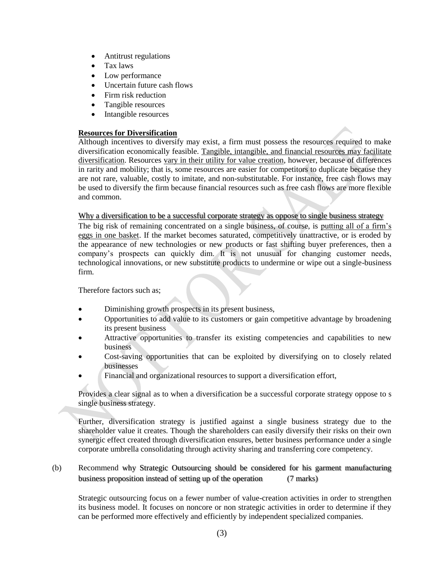- Antitrust regulations
- Tax laws
- Low performance
- Uncertain future cash flows
- Firm risk reduction
- Tangible resources
- Intangible resources

## **Resources for Diversification**

Although incentives to diversify may exist, a firm must possess the resources required to make diversification economically feasible. Tangible, intangible, and financial resources may facilitate diversification. Resources vary in their utility for value creation, however, because of differences in rarity and mobility; that is, some resources are easier for competitors to duplicate because they are not rare, valuable, costly to imitate, and non-substitutable. For instance, free cash flows may be used to diversify the firm because financial resources such as free cash flows are more flexible and common.

#### Why a diversification to be a successful corporate strategy as oppose to single business strategy

The big risk of remaining concentrated on a single business, of course, is putting all of a firm"s eggs in one basket. If the market becomes saturated, competitively unattractive, or is eroded by the appearance of new technologies or new products or fast shifting buyer preferences, then a company"s prospects can quickly dim. It is not unusual for changing customer needs, technological innovations, or new substitute products to undermine or wipe out a single-business firm.

Therefore factors such as;

- Diminishing growth prospects in its present business,
- Opportunities to add value to its customers or gain competitive advantage by broadening its present business
- Attractive opportunities to transfer its existing competencies and capabilities to new business
- Cost-saving opportunities that can be exploited by diversifying on to closely related businesses
- Financial and organizational resources to support a diversification effort,

Provides a clear signal as to when a diversification be a successful corporate strategy oppose to s single business strategy.

Further, diversification strategy is justified against a single business strategy due to the shareholder value it creates. Though the shareholders can easily diversify their risks on their own synergic effect created through diversification ensures, better business performance under a single corporate umbrella consolidating through activity sharing and transferring core competency.

# (b) Recommend why Strategic Outsourcing should be considered for his garment manufacturing business proposition instead of setting up of the operation (7 marks)

Strategic outsourcing focus on a fewer number of value-creation activities in order to strengthen its business model. It focuses on noncore or non strategic activities in order to determine if they can be performed more effectively and efficiently by independent specialized companies.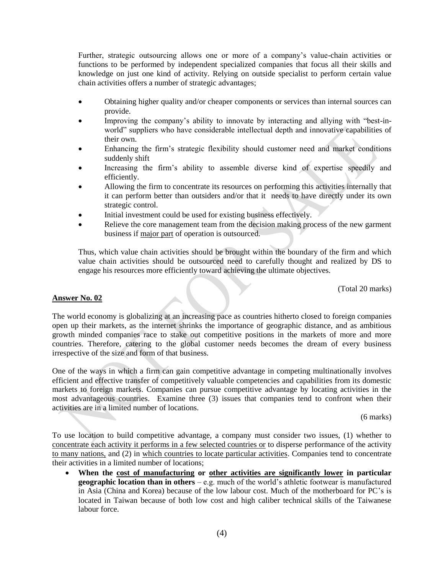Further, strategic outsourcing allows one or more of a company"s value-chain activities or functions to be performed by independent specialized companies that focus all their skills and knowledge on just one kind of activity. Relying on outside specialist to perform certain value chain activities offers a number of strategic advantages;

- Obtaining higher quality and/or cheaper components or services than internal sources can provide.
- Improving the company"s ability to innovate by interacting and allying with "best-inworld" suppliers who have considerable intellectual depth and innovative capabilities of their own.
- Enhancing the firm"s strategic flexibility should customer need and market conditions suddenly shift
- Increasing the firm"s ability to assemble diverse kind of expertise speedily and efficiently.
- Allowing the firm to concentrate its resources on performing this activities internally that it can perform better than outsiders and/or that it needs to have directly under its own strategic control.
- Initial investment could be used for existing business effectively.
- Relieve the core management team from the decision making process of the new garment business if major part of operation is outsourced.

Thus, which value chain activities should be brought within the boundary of the firm and which value chain activities should be outsourced need to carefully thought and realized by DS to engage his resources more efficiently toward achieving the ultimate objectives.

(Total 20 marks)

#### **Answer No. 02**

The world economy is globalizing at an increasing pace as countries hitherto closed to foreign companies open up their markets, as the internet shrinks the importance of geographic distance, and as ambitious growth minded companies race to stake out competitive positions in the markets of more and more countries. Therefore, catering to the global customer needs becomes the dream of every business irrespective of the size and form of that business.

One of the ways in which a firm can gain competitive advantage in competing multinationally involves efficient and effective transfer of competitively valuable competencies and capabilities from its domestic markets to foreign markets. Companies can pursue competitive advantage by locating activities in the most advantageous countries. Examine three (3) issues that companies tend to confront when their activities are in a limited number of locations.

(6 marks)

To use location to build competitive advantage, a company must consider two issues, (1) whether to concentrate each activity it performs in a few selected countries or to disperse performance of the activity to many nations, and (2) in which countries to locate particular activities. Companies tend to concentrate their activities in a limited number of locations;

 **When the cost of manufacturing or other activities are significantly lower in particular geographic location than in others** – e.g. much of the world"s athletic footwear is manufactured in Asia (China and Korea) because of the low labour cost. Much of the motherboard for PC"s is located in Taiwan because of both low cost and high caliber technical skills of the Taiwanese labour force.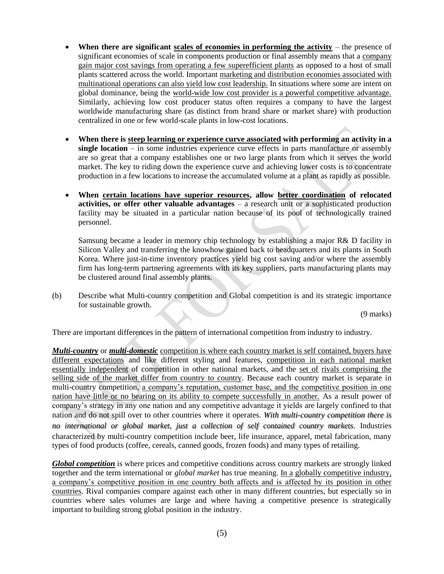- When there are significant scales of economies in performing the activity the presence of significant economies of scale in components production or final assembly means that a company gain major cost savings from operating a few superefficient plants as opposed to a host of small plants scattered across the world. Important marketing and distribution economies associated with multinational operations can also yield low cost leadership. In situations where some are intent on global dominance, being the world-wide low cost provider is a powerful competitive advantage. Similarly, achieving low cost producer status often requires a company to have the largest worldwide manufacturing share (as distinct from brand share or market share) with production centralized in one or few world-scale plants in low-cost locations.
- **When there is steep learning or experience curve associated with performing an activity in a single location** – in some industries experience curve effects in parts manufacture or assembly are so great that a company establishes one or two large plants from which it serves the world market. The key to riding down the experience curve and achieving lower costs is to concentrate production in a few locations to increase the accumulated volume at a plant as rapidly as possible.
- **When certain locations have superior resources, allow better coordination of relocated activities, or offer other valuable advantages** – a research unit or a sophisticated production facility may be situated in a particular nation because of its pool of technologically trained personnel.

Samsung became a leader in memory chip technology by establishing a major R& D facility in Silicon Valley and transferring the knowhow gained back to headquarters and its plants in South Korea. Where just-in-time inventory practices yield big cost saving and/or where the assembly firm has long-term partnering agreements with its key suppliers, parts manufacturing plants may be clustered around final assembly plants.

(b) Describe what Multi-country competition and Global competition is and its strategic importance for sustainable growth.

(9 marks)

There are important differences in the pattern of international competition from industry to industry.

*Multi-country* or *multi-domestic* competition is where each country market is self contained, buyers have different expectations and like different styling and features, competition in each national market essentially independent of competition in other national markets, and the set of rivals comprising the selling side of the market differ from country to country. Because each country market is separate in multi-country competition, a company"s reputation, customer base, and the competitive position in one nation have little or no bearing on its ability to compete successfully in another. As a result power of company"s strategy in any one nation and any competitive advantage it yields are largely confined to that nation and do not spill over to other countries where it operates. *With multi-country competition there is no international or global market, just a collection of self contained country markets*. Industries characterized by multi-country competition include beer, life insurance, apparel, metal fabrication, many types of food products (coffee, cereals, canned goods, frozen foods) and many types of retailing.

*Global competition* is where prices and competitive conditions across country markets are strongly linked together and the term international or *global market* has true meaning. In a globally competitive industry, a company"s competitive position in one country both affects and is affected by its position in other countries. Rival companies compare against each other in many different countries, but especially so in countries where sales volumes are large and where having a competitive presence is strategically important to building strong global position in the industry.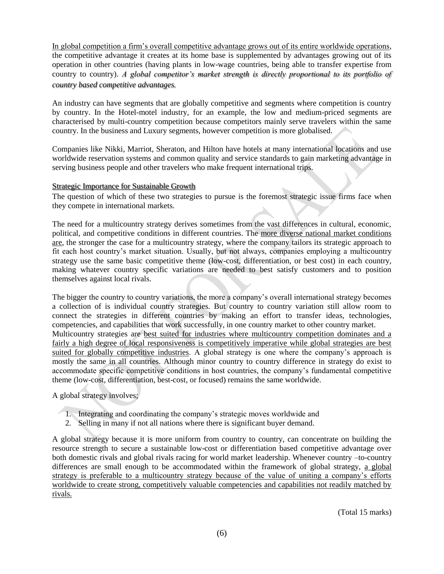In global competition a firm"s overall competitive advantage grows out of its entire worldwide operations, the competitive advantage it creates at its home base is supplemented by advantages growing out of its operation in other countries (having plants in low-wage countries, being able to transfer expertise from country to country). *A global competitor's market strength is directly proportional to its portfolio of country based competitive advantages.* 

An industry can have segments that are globally competitive and segments where competition is country by country. In the Hotel-motel industry, for an example, the low and medium-priced segments are characterised by multi-country competition because competitors mainly serve travelers within the same country. In the business and Luxury segments, however competition is more globalised.

Companies like Nikki, Marriot, Sheraton, and Hilton have hotels at many international locations and use worldwide reservation systems and common quality and service standards to gain marketing advantage in serving business people and other travelers who make frequent international trips.

#### Strategic Importance for Sustainable Growth

The question of which of these two strategies to pursue is the foremost strategic issue firms face when they compete in international markets.

The need for a multicountry strategy derives sometimes from the vast differences in cultural, economic, political, and competitive conditions in different countries. The more diverse national market conditions are, the stronger the case for a multicountry strategy, where the company tailors its strategic approach to fit each host country"s market situation. Usually, but not always, companies employing a multicountry strategy use the same basic competitive theme (low-cost, differentiation, or best cost) in each country, making whatever country specific variations are needed to best satisfy customers and to position themselves against local rivals.

The bigger the country to country variations, the more a company"s overall international strategy becomes a collection of is individual country strategies. But country to country variation still allow room to connect the strategies in different countries by making an effort to transfer ideas, technologies, competencies, and capabilities that work successfully, in one country market to other country market. Multicountry strategies are best suited for industries where multicountry competition dominates and a fairly a high degree of local responsiveness is competitively imperative while global strategies are best suited for globally competitive industries. A global strategy is one where the company's approach is mostly the same in all countries. Although minor country to country difference in strategy do exist to accommodate specific competitive conditions in host countries, the company"s fundamental competitive theme (low-cost, differentiation, best-cost, or focused) remains the same worldwide.

#### A global strategy involves;

- 1. Integrating and coordinating the company"s strategic moves worldwide and
- 2. Selling in many if not all nations where there is significant buyer demand.

A global strategy because it is more uniform from country to country, can concentrate on building the resource strength to secure a sustainable low-cost or differentiation based competitive advantage over both domestic rivals and global rivals racing for world market leadership. Whenever country –to-country differences are small enough to be accommodated within the framework of global strategy, a global strategy is preferable to a multicountry strategy because of the value of uniting a company's efforts worldwide to create strong, competitively valuable competencies and capabilities not readily matched by rivals.

(Total 15 marks)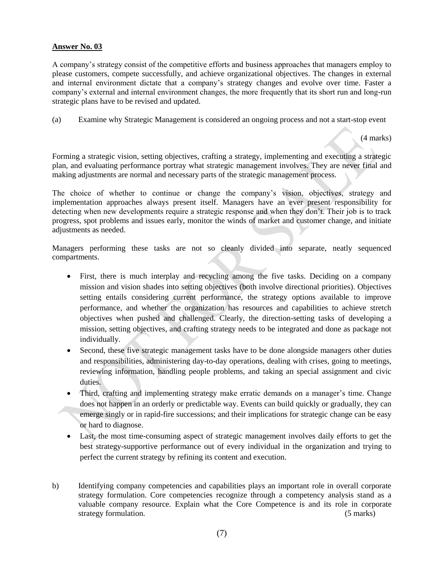#### **Answer No. 03**

A company"s strategy consist of the competitive efforts and business approaches that managers employ to please customers, compete successfully, and achieve organizational objectives. The changes in external and internal environment dictate that a company"s strategy changes and evolve over time. Faster a company"s external and internal environment changes, the more frequently that its short run and long-run strategic plans have to be revised and updated.

(a) Examine why Strategic Management is considered an ongoing process and not a start-stop event

(4 marks)

Forming a strategic vision, setting objectives, crafting a strategy, implementing and executing a strategic plan, and evaluating performance portray what strategic management involves. They are never final and making adjustments are normal and necessary parts of the strategic management process.

The choice of whether to continue or change the company"s vision, objectives, strategy and implementation approaches always present itself. Managers have an ever present responsibility for detecting when new developments require a strategic response and when they don"t. Their job is to track progress, spot problems and issues early, monitor the winds of market and customer change, and initiate adjustments as needed.

Managers performing these tasks are not so cleanly divided into separate, neatly sequenced compartments.

- First, there is much interplay and recycling among the five tasks. Deciding on a company mission and vision shades into setting objectives (both involve directional priorities). Objectives setting entails considering current performance, the strategy options available to improve performance, and whether the organization has resources and capabilities to achieve stretch objectives when pushed and challenged. Clearly, the direction-setting tasks of developing a mission, setting objectives, and crafting strategy needs to be integrated and done as package not individually.
- Second, these five strategic management tasks have to be done alongside managers other duties and responsibilities, administering day-to-day operations, dealing with crises, going to meetings, reviewing information, handling people problems, and taking an special assignment and civic duties.
- Third, crafting and implementing strategy make erratic demands on a manager's time. Change does not happen in an orderly or predictable way. Events can build quickly or gradually, they can emerge singly or in rapid-fire successions; and their implications for strategic change can be easy or hard to diagnose.
- Last, the most time-consuming aspect of strategic management involves daily efforts to get the best strategy-supportive performance out of every individual in the organization and trying to perfect the current strategy by refining its content and execution.
- b) Identifying company competencies and capabilities plays an important role in overall corporate strategy formulation. Core competencies recognize through a competency analysis stand as a valuable company resource. Explain what the Core Competence is and its role in corporate strategy formulation. (5 marks) (5 marks)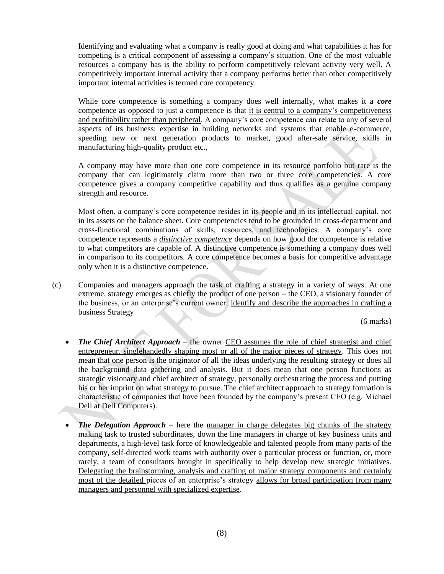Identifying and evaluating what a company is really good at doing and what capabilities it has for competing is a critical component of assessing a company"s situation. One of the most valuable resources a company has is the ability to perform competitively relevant activity very well. A competitively important internal activity that a company performs better than other competitively important internal activities is termed core competency.

While core competence is something a company does well internally, what makes it a *core*  competence as opposed to just a competence is that it is central to a company"s competitiveness and profitability rather than peripheral. A company's core competence can relate to any of several aspects of its business: expertise in building networks and systems that enable e-commerce, speeding new or next generation products to market, good after-sale service, skills in manufacturing high-quality product etc.,

A company may have more than one core competence in its resource portfolio but rare is the company that can legitimately claim more than two or three core competencies. A core competence gives a company competitive capability and thus qualifies as a genuine company strength and resource.

Most often, a company"s core competence resides in its people and in its intellectual capital, not in its assets on the balance sheet. Core competencies tend to be grounded in cross-department and cross-functional combinations of skills, resources, and technologies. A company"s core competence represents a *distinctive competence* depends on how good the competence is relative to what competitors are capable of. A distinctive competence is something a company does well in comparison to its competitors. A core competence becomes a basis for competitive advantage only when it is a distinctive competence.

(c) Companies and managers approach the task of crafting a strategy in a variety of ways. At one extreme, strategy emerges as chiefly the product of one person – the CEO, a visionary founder of the business, or an enterprise"s current owner. Identify and describe the approaches in crafting a business Strategy

(6 marks)

- *The Chief Architect Approach* the owner CEO assumes the role of chief strategist and chief entrepreneur, singlehandedly shaping most or all of the major pieces of strategy. This does not mean that one person is the originator of all the ideas underlying the resulting strategy or does all the background data gathering and analysis. But it does mean that one person functions as strategic visionary and chief architect of strategy, personally orchestrating the process and putting his or her imprint on what strategy to pursue. The chief architect approach to strategy formation is characteristic of companies that have been founded by the company"s present CEO (e.g. Michael Dell at Dell Computers).
- *The Delegation Approach* here the manager in charge delegates big chunks of the strategy making task to trusted subordinates, down the line managers in charge of key business units and departments, a high-level task force of knowledgeable and talented people from many parts of the company, self-directed work teams with authority over a particular process or function, or, more rarely, a team of consultants brought in specifically to help develop new strategic initiatives. Delegating the brainstorming, analysis and crafting of major strategy components and certainly most of the detailed pieces of an enterprise's strategy allows for broad participation from many managers and personnel with specialized expertise.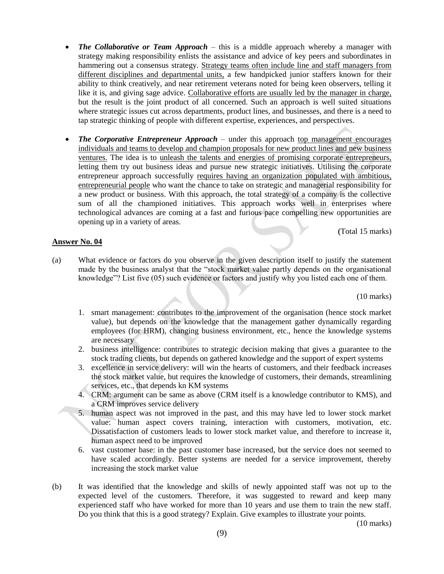- *The Collaborative or Team Approach* this is a middle approach whereby a manager with strategy making responsibility enlists the assistance and advice of key peers and subordinates in hammering out a consensus strategy. Strategy teams often include line and staff managers from different disciplines and departmental units, a few handpicked junior staffers known for their ability to think creatively, and near retirement veterans noted for being keen observers, telling it like it is, and giving sage advice. Collaborative efforts are usually led by the manager in charge, but the result is the joint product of all concerned. Such an approach is well suited situations where strategic issues cut across departments, product lines, and businesses, and there is a need to tap strategic thinking of people with different expertise, experiences, and perspectives.
- *The Corporative Entrepreneur Approach* under this approach top management encourages individuals and teams to develop and champion proposals for new product lines and new business ventures. The idea is to unleash the talents and energies of promising corporate entrepreneurs, letting them try out business ideas and pursue new strategic initiatives. Utilising the corporate entrepreneur approach successfully requires having an organization populated with ambitious, entrepreneurial people who want the chance to take on strategic and managerial responsibility for a new product or business. With this approach, the total strategy of a company is the collective sum of all the championed initiatives. This approach works well in enterprises where technological advances are coming at a fast and furious pace compelling new opportunities are opening up in a variety of areas.

(Total 15 marks)

#### **Answer No. 04**

(a) What evidence or factors do you observe in the given description itself to justify the statement made by the business analyst that the "stock market value partly depends on the organisational knowledge"? List five (05) such evidence or factors and justify why you listed each one of them.

(10 marks)

- 1. smart management: contributes to the improvement of the organisation (hence stock market value), but depends on the knowledge that the management gather dynamically regarding employees (for HRM), changing business environment, etc., hence the knowledge systems are necessary
- 2. business intelligence: contributes to strategic decision making that gives a guarantee to the stock trading clients, but depends on gathered knowledge and the support of expert systems
- 3. excellence in service delivery: will win the hearts of customers, and their feedback increases the stock market value, but requires the knowledge of customers, their demands, streamlining services, etc., that depends kn KM systems
- 4. CRM: argument can be same as above (CRM itself is a knowledge contributor to KMS), and a CRM improves service delivery
- 5. human aspect was not improved in the past, and this may have led to lower stock market value: human aspect covers training, interaction with customers, motivation, etc. Dissatisfaction of customers leads to lower stock market value, and therefore to increase it, human aspect need to be improved
- 6. vast customer base: in the past customer base increased, but the service does not seemed to have scaled accordingly. Better systems are needed for a service improvement, thereby increasing the stock market value
- (b) It was identified that the knowledge and skills of newly appointed staff was not up to the expected level of the customers. Therefore, it was suggested to reward and keep many experienced staff who have worked for more than 10 years and use them to train the new staff. Do you think that this is a good strategy? Explain. Give examples to illustrate your points.

(10 marks)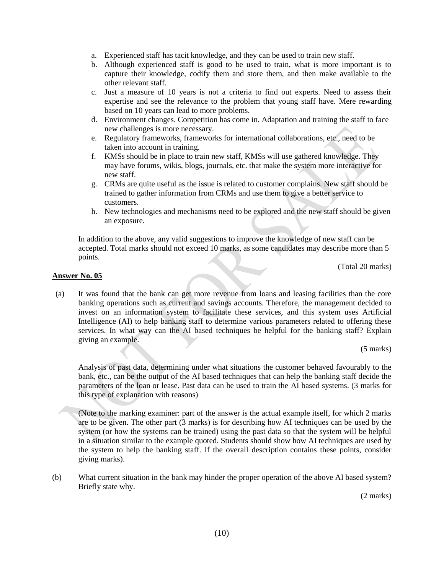- a. Experienced staff has tacit knowledge, and they can be used to train new staff.
- b. Although experienced staff is good to be used to train, what is more important is to capture their knowledge, codify them and store them, and then make available to the other relevant staff.
- c. Just a measure of 10 years is not a criteria to find out experts. Need to assess their expertise and see the relevance to the problem that young staff have. Mere rewarding based on 10 years can lead to more problems.
- d. Environment changes. Competition has come in. Adaptation and training the staff to face new challenges is more necessary.
- e. Regulatory frameworks, frameworks for international collaborations, etc., need to be taken into account in training.
- f. KMSs should be in place to train new staff, KMSs will use gathered knowledge. They may have forums, wikis, blogs, journals, etc. that make the system more interactive for new staff.
- g. CRMs are quite useful as the issue is related to customer complains. New staff should be trained to gather information from CRMs and use them to give a better service to customers.
- h. New technologies and mechanisms need to be explored and the new staff should be given an exposure.

In addition to the above, any valid suggestions to improve the knowledge of new staff can be accepted. Total marks should not exceed 10 marks, as some candidates may describe more than 5 points.

(Total 20 marks)

#### **Answer No. 05**

(a) It was found that the bank can get more revenue from loans and leasing facilities than the core banking operations such as current and savings accounts. Therefore, the management decided to invest on an information system to facilitate these services, and this system uses Artificial Intelligence (AI) to help banking staff to determine various parameters related to offering these services. In what way can the AI based techniques be helpful for the banking staff? Explain giving an example.

(5 marks)

Analysis of past data, determining under what situations the customer behaved favourably to the bank, etc., can be the output of the AI based techniques that can help the banking staff decide the parameters of the loan or lease. Past data can be used to train the AI based systems. (3 marks for this type of explanation with reasons)

(Note to the marking examiner: part of the answer is the actual example itself, for which 2 marks are to be given. The other part (3 marks) is for describing how AI techniques can be used by the system (or how the systems can be trained) using the past data so that the system will be helpful in a situation similar to the example quoted. Students should show how AI techniques are used by the system to help the banking staff. If the overall description contains these points, consider giving marks).

(b) What current situation in the bank may hinder the proper operation of the above AI based system? Briefly state why.

(2 marks)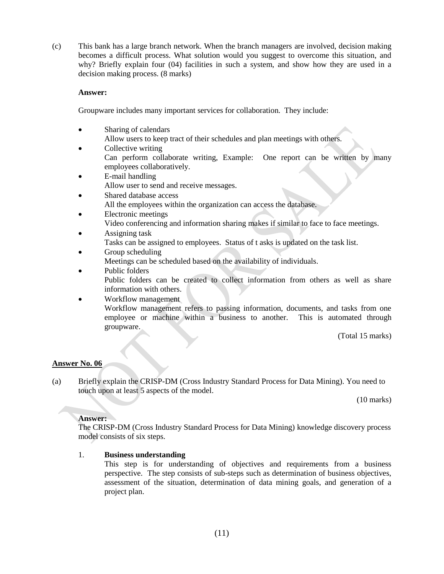(c) This bank has a large branch network. When the branch managers are involved, decision making becomes a difficult process. What solution would you suggest to overcome this situation, and why? Briefly explain four (04) facilities in such a system, and show how they are used in a decision making process. (8 marks)

#### **Answer:**

Groupware includes many important services for collaboration. They include:

- Sharing of calendars Allow users to keep tract of their schedules and plan meetings with others.
- Collective writing Can perform collaborate writing, Example: One report can be written by many employees collaboratively.
- E-mail handling Allow user to send and receive messages.
- Shared database access All the employees within the organization can access the database.
- Electronic meetings Video conferencing and information sharing makes if similar to face to face meetings.
- Assigning task Tasks can be assigned to employees. Status of t asks is updated on the task list.
- Group scheduling Meetings can be scheduled based on the availability of individuals.
- Public folders Public folders can be created to collect information from others as well as share information with others.
- Workflow management Workflow management refers to passing information, documents, and tasks from one employee or machine within a business to another. This is automated through groupware.

(Total 15 marks)

# **Answer No. 06**

(a) Briefly explain the CRISP-DM (Cross Industry Standard Process for Data Mining). You need to touch upon at least 5 aspects of the model.

(10 marks)

# **Answer:**

The CRISP-DM (Cross Industry Standard Process for Data Mining) knowledge discovery process model consists of six steps.

# 1. **Business understanding**

This step is for understanding of objectives and requirements from a business perspective. The step consists of sub-steps such as determination of business objectives, assessment of the situation, determination of data mining goals, and generation of a project plan.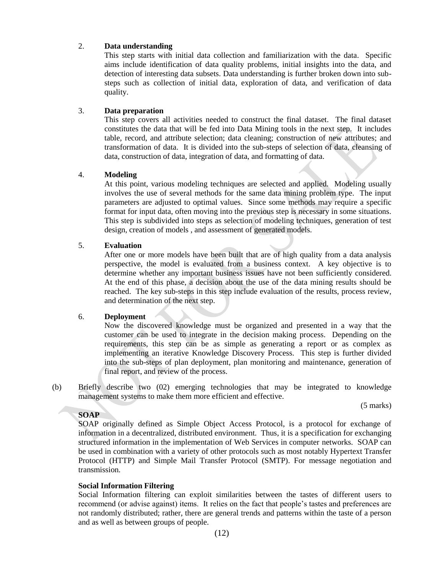#### 2. **Data understanding**

This step starts with initial data collection and familiarization with the data. Specific aims include identification of data quality problems, initial insights into the data, and detection of interesting data subsets. Data understanding is further broken down into substeps such as collection of initial data, exploration of data, and verification of data quality.

#### 3. **Data preparation**

This step covers all activities needed to construct the final dataset. The final dataset constitutes the data that will be fed into Data Mining tools in the next step. It includes table, record, and attribute selection; data cleaning; construction of new attributes; and transformation of data. It is divided into the sub-steps of selection of data, cleansing of data, construction of data, integration of data, and formatting of data.

### 4. **Modeling**

At this point, various modeling techniques are selected and applied. Modeling usually involves the use of several methods for the same data mining problem type. The input parameters are adjusted to optimal values. Since some methods may require a specific format for input data, often moving into the previous step is necessary in some situations. This step is subdivided into steps as selection of modeling techniques, generation of test design, creation of models , and assessment of generated models.

### 5. **Evaluation**

After one or more models have been built that are of high quality from a data analysis perspective, the model is evaluated from a business context. A key objective is to determine whether any important business issues have not been sufficiently considered. At the end of this phase, a decision about the use of the data mining results should be reached. The key sub-steps in this step include evaluation of the results, process review, and determination of the next step.

# 6. **Deployment**

Now the discovered knowledge must be organized and presented in a way that the customer can be used to integrate in the decision making process. Depending on the requirements, this step can be as simple as generating a report or as complex as implementing an iterative Knowledge Discovery Process. This step is further divided into the sub-steps of plan deployment, plan monitoring and maintenance, generation of final report, and review of the process.

(5 marks)

(b) Briefly describe two (02) emerging technologies that may be integrated to knowledge management systems to make them more efficient and effective.

**SOAP**

SOAP originally defined as Simple Object Access Protocol, is a protocol for exchange of information in a decentralized, distributed environment. Thus, it is a specification for exchanging structured information in the implementation of Web Services in computer networks. SOAP can be used in combination with a variety of other protocols such as most notably Hypertext Transfer Protocol (HTTP) and Simple Mail Transfer Protocol (SMTP). For message negotiation and transmission.

# **Social Information Filtering**

Social Information filtering can exploit similarities between the tastes of different users to recommend (or advise against) items. It relies on the fact that people"s tastes and preferences are not randomly distributed; rather, there are general trends and patterns within the taste of a person and as well as between groups of people.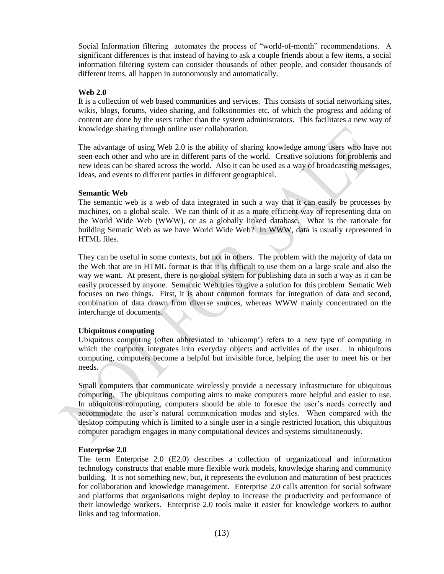Social Information filtering automates the process of "world-of-month" recommendations. A significant differences is that instead of having to ask a couple friends about a few items, a social information filtering system can consider thousands of other people, and consider thousands of different items, all happen in autonomously and automatically.

#### **Web 2.0**

It is a collection of web based communities and services. This consists of social networking sites, wikis, blogs, forums, video sharing, and folksonomies etc. of which the progress and adding of content are done by the users rather than the system administrators. This facilitates a new way of knowledge sharing through online user collaboration.

The advantage of using Web 2.0 is the ability of sharing knowledge among users who have not seen each other and who are in different parts of the world. Creative solutions for problems and new ideas can be shared across the world. Also it can be used as a way of broadcasting messages, ideas, and events to different parties in different geographical.

#### **Semantic Web**

The semantic web is a web of data integrated in such a way that it can easily be processes by machines, on a global scale. We can think of it as a more efficient way of representing data on the World Wide Web (WWW), or as a globally linked database. What is the rationale for building Sematic Web as we have World Wide Web? In WWW, data is usually represented in HTML files.

They can be useful in some contexts, but not in others. The problem with the majority of data on the Web that are in HTML format is that it is difficult to use them on a large scale and also the way we want. At present, there is no global system for publishing data in such a way as it can be easily processed by anyone. Semantic Web tries to give a solution for this problem Sematic Web focuses on two things. First, it is about common formats for integration of data and second, combination of data drawn from diverse sources, whereas WWW mainly concentrated on the interchange of documents.

#### **Ubiquitous computing**

Ubiquitous computing (often abbreviated to "ubicomp") refers to a new type of computing in which the computer integrates into everyday objects and activities of the user. In ubiquitous computing, computers become a helpful but invisible force, helping the user to meet his or her needs.

Small computers that communicate wirelessly provide a necessary infrastructure for ubiquitous computing. The ubiquitous computing aims to make computers more helpful and easier to use. In ubiquitous computing, computers should be able to foresee the user"s needs correctly and accommodate the user's natural communication modes and styles. When compared with the desktop computing which is limited to a single user in a single restricted location, this ubiquitous computer paradigm engages in many computational devices and systems simultaneously.

#### **Enterprise 2.0**

The term Enterprise 2.0 (E2.0) describes a collection of organizational and information technology constructs that enable more flexible work models, knowledge sharing and community building. It is not something new, but, it represents the evolution and maturation of best practices for collaboration and knowledge management. Enterprise 2.0 calls attention for social software and platforms that organisations might deploy to increase the productivity and performance of their knowledge workers. Enterprise 2.0 tools make it easier for knowledge workers to author links and tag information.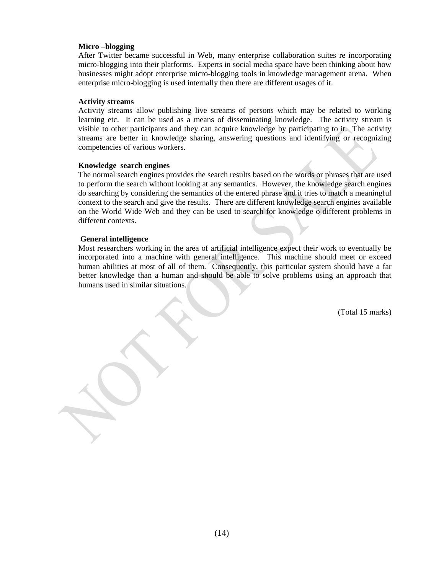#### **Micro –blogging**

After Twitter became successful in Web, many enterprise collaboration suites re incorporating micro-blogging into their platforms. Experts in social media space have been thinking about how businesses might adopt enterprise micro-blogging tools in knowledge management arena. When enterprise micro-blogging is used internally then there are different usages of it.

#### **Activity streams**

Activity streams allow publishing live streams of persons which may be related to working learning etc. It can be used as a means of disseminating knowledge. The activity stream is visible to other participants and they can acquire knowledge by participating to it. The activity streams are better in knowledge sharing, answering questions and identifying or recognizing competencies of various workers.

#### **Knowledge search engines**

The normal search engines provides the search results based on the words or phrases that are used to perform the search without looking at any semantics. However, the knowledge search engines do searching by considering the semantics of the entered phrase and it tries to match a meaningful context to the search and give the results. There are different knowledge search engines available on the World Wide Web and they can be used to search for knowledge o different problems in different contexts.

#### **General intelligence**

Most researchers working in the area of artificial intelligence expect their work to eventually be incorporated into a machine with general intelligence. This machine should meet or exceed human abilities at most of all of them. Consequently, this particular system should have a far better knowledge than a human and should be able to solve problems using an approach that humans used in similar situations.

(Total 15 marks)